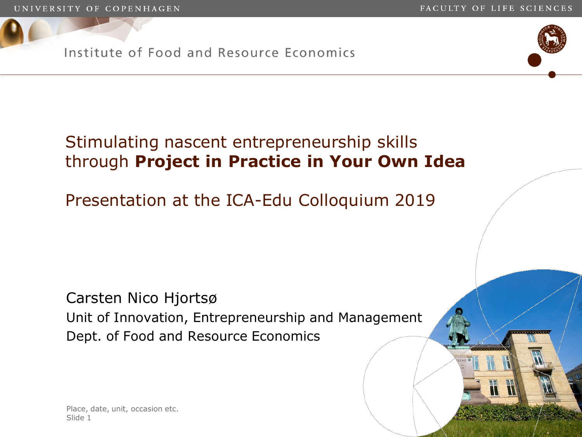$\mathbb H$ 

Institute of Food and Resource Economics



# Stimulating nascent entrepreneurship skills through **Project in Practice in Your Own Idea**

Presentation at the ICA-Edu Colloquium 2019

Carsten Nico Hjortsø Unit of Innovation, Entrepreneurship and Management Dept. of Food and Resource Economics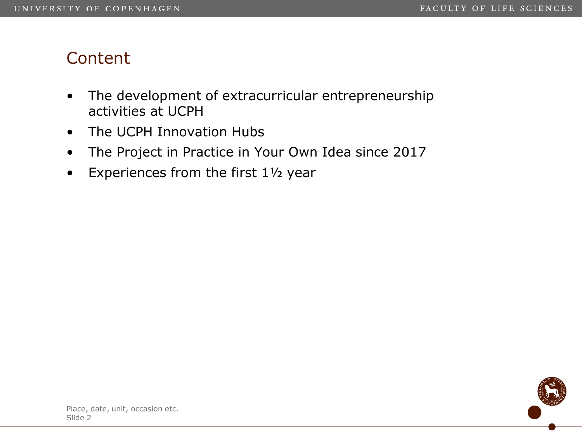### **Content**

- The development of extracurricular entrepreneurship activities at UCPH
- The UCPH Innovation Hubs
- The Project in Practice in Your Own Idea since 2017
- Experiences from the first 1½ year

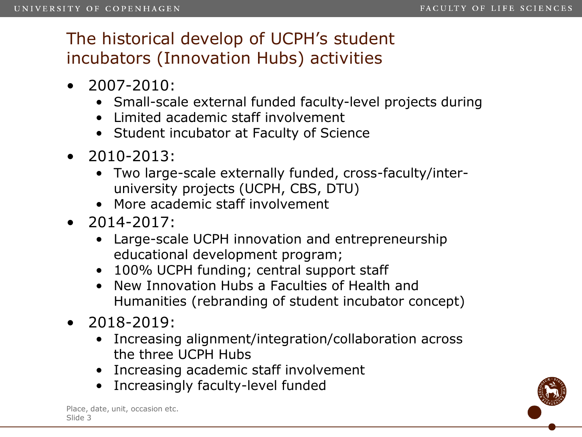## The historical develop of UCPH's student incubators (Innovation Hubs) activities

- 2007-2010:
	- Small-scale external funded faculty-level projects during
	- Limited academic staff involvement
	- Student incubator at Faculty of Science
- 2010-2013:
	- Two large-scale externally funded, cross-faculty/interuniversity projects (UCPH, CBS, DTU)
	- More academic staff involvement
- 2014-2017:
	- Large-scale UCPH innovation and entrepreneurship educational development program;
	- 100% UCPH funding; central support staff
	- New Innovation Hubs a Faculties of Health and Humanities (rebranding of student incubator concept)
- 2018-2019:
	- Increasing alignment/integration/collaboration across the three UCPH Hubs
	- Increasing academic staff involvement
	- Increasingly faculty-level funded

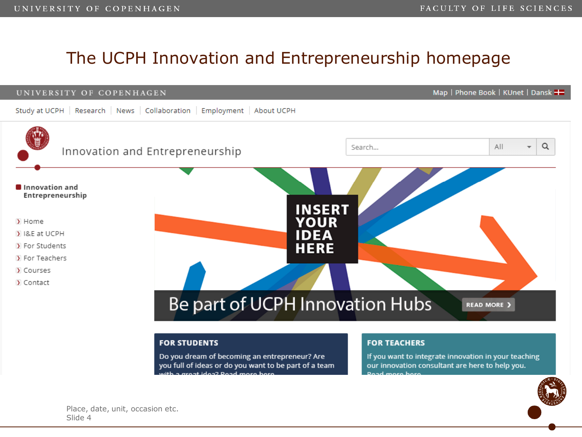### The UCPH Innovation and Entrepreneurship homepage



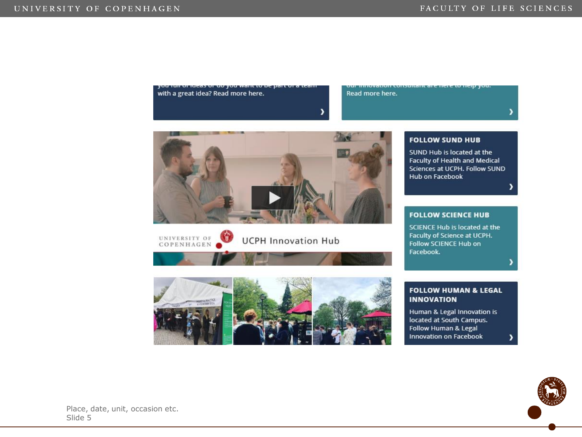

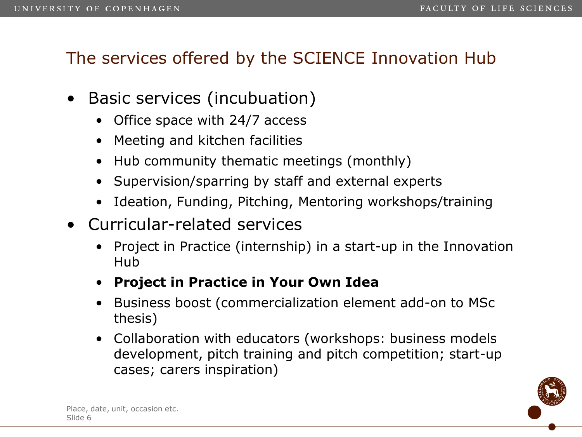### The services offered by the SCIENCE Innovation Hub

- Basic services (incubuation)
	- Office space with 24/7 access
	- Meeting and kitchen facilities
	- Hub community thematic meetings (monthly)
	- Supervision/sparring by staff and external experts
	- Ideation, Funding, Pitching, Mentoring workshops/training
- Curricular-related services
	- Project in Practice (internship) in a start-up in the Innovation Hub
	- **Project in Practice in Your Own Idea**
	- Business boost (commercialization element add-on to MSc thesis)
	- Collaboration with educators (workshops: business models development, pitch training and pitch competition; start-up cases; carers inspiration)

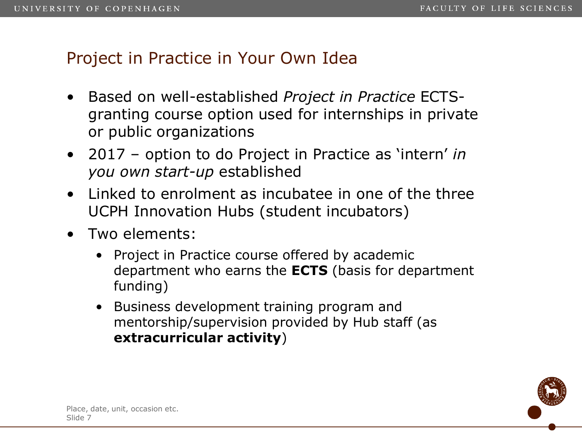### Project in Practice in Your Own Idea

- Based on well-established *Project in Practice* ECTSgranting course option used for internships in private or public organizations
- 2017 option to do Project in Practice as 'intern' *in you own start-up* established
- Linked to enrolment as incubatee in one of the three UCPH Innovation Hubs (student incubators)
- Two elements:
	- Project in Practice course offered by academic department who earns the **ECTS** (basis for department funding)
	- Business development training program and mentorship/supervision provided by Hub staff (as **extracurricular activity**)

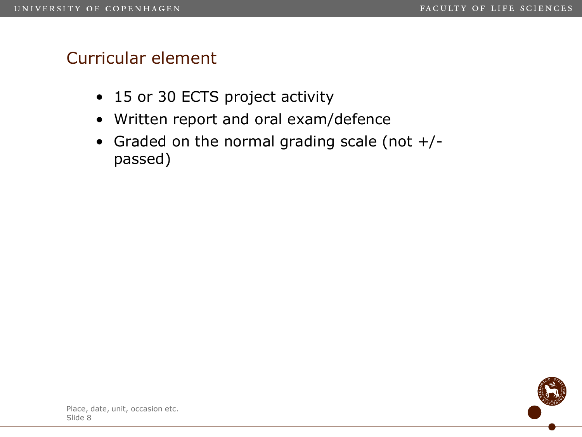### Curricular element

- 15 or 30 ECTS project activity
- Written report and oral exam/defence
- Graded on the normal grading scale (not +/ passed)

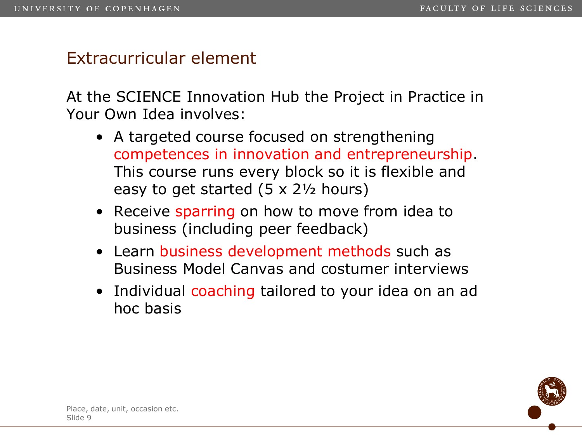### Extracurricular element

At the SCIENCE Innovation Hub the Project in Practice in Your Own Idea involves:

- A targeted course focused on strengthening competences in innovation and entrepreneurship. This course runs every block so it is flexible and easy to get started (5 x 2½ hours)
- Receive sparring on how to move from idea to business (including peer feedback)
- Learn business development methods such as Business Model Canvas and costumer interviews
- Individual coaching tailored to your idea on an ad hoc basis

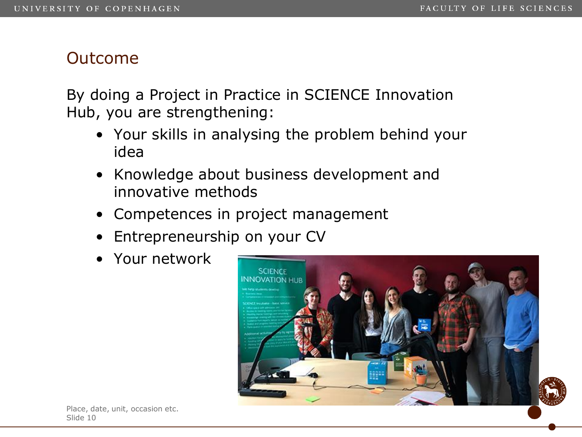### Outcome

By doing a Project in Practice in SCIENCE Innovation Hub, you are strengthening:

- Your skills in analysing the problem behind your idea
- Knowledge about business development and innovative methods
- Competences in project management
- Entrepreneurship on your CV
- Your network

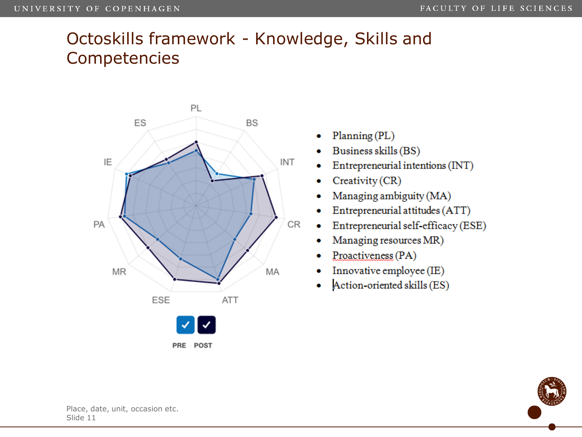### Octoskills framework - Knowledge, Skills and Competencies



- Planning (PL)
- Business skills (BS)
- Entrepreneurial intentions (INT)
- Creativity (CR)
- Managing ambiguity (MA)
- Entrepreneurial attitudes (ATT)
- Entrepreneurial self-efficacy (ESE)
- Managing resources MR)
- Proactiveness (PA)
- Innovative employee (IE)
- Action-oriented skills (ES) ۰

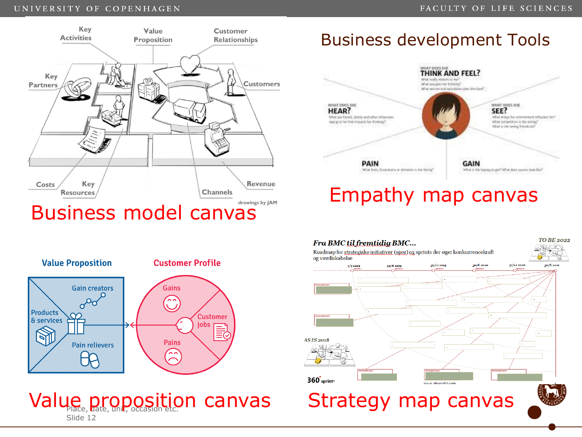### UNIVERSITY OF COPENHAGEN





### Value proposition canvas Strategy map canvas Slide 12

### Business development Tools



### **TO BE 2022** Fra BMC til fremtidig BMC... Roadmap for strategiske initiativer (spor) og sprints der øger konkurrencekraft og værdiskabelse  $31/122019$ 30/6 2020 31/12 2020  $1/22019$  $20/6, 201$ **AS IS 2018** 360<sup>'</sup>sprint<sup>®</sup> www.p6osnrint.com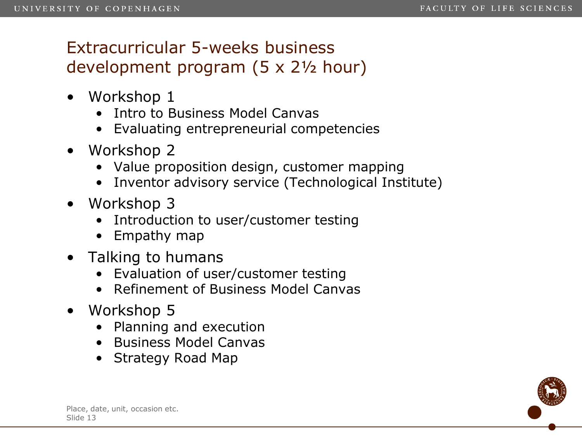# Extracurricular 5-weeks business development program (5 x 2½ hour)

- Workshop 1
	- Intro to Business Model Canvas
	- Evaluating entrepreneurial competencies
- Workshop 2
	- Value proposition design, customer mapping
	- Inventor advisory service (Technological Institute)
- Workshop 3
	- Introduction to user/customer testing
	- Empathy map
- Talking to humans
	- Evaluation of user/customer testing
	- Refinement of Business Model Canvas
- Workshop 5
	- Planning and execution
	- Business Model Canvas
	- Strategy Road Map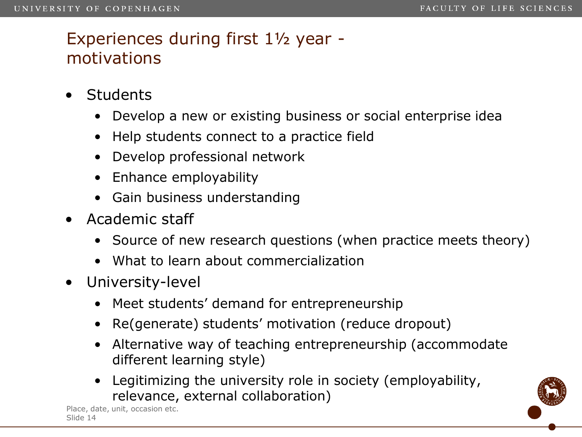### Experiences during first 1½ year motivations

- **Students** 
	- Develop a new or existing business or social enterprise idea
	- Help students connect to a practice field
	- Develop professional network
	- Enhance employability
	- Gain business understanding
- Academic staff
	- Source of new research questions (when practice meets theory)
	- What to learn about commercialization
- University-level
	- Meet students' demand for entrepreneurship
	- Re(generate) students' motivation (reduce dropout)
	- Alternative way of teaching entrepreneurship (accommodate different learning style)
	- Legitimizing the university role in society (employability, relevance, external collaboration)

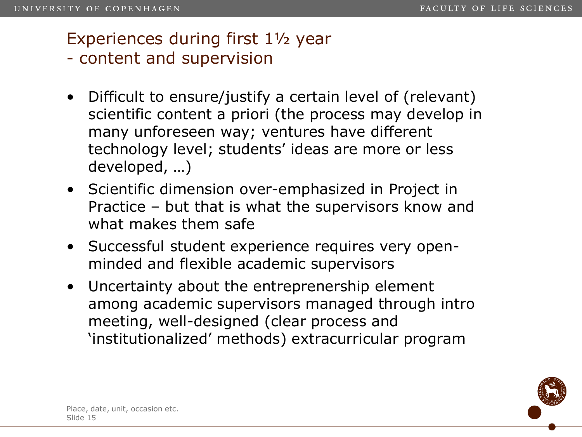### Experiences during first 1½ year

- content and supervision
- Difficult to ensure/justify a certain level of (relevant) scientific content a priori (the process may develop in many unforeseen way; ventures have different technology level; students' ideas are more or less developed, …)
- Scientific dimension over-emphasized in Project in Practice – but that is what the supervisors know and what makes them safe
- Successful student experience requires very openminded and flexible academic supervisors
- Uncertainty about the entreprenership element among academic supervisors managed through intro meeting, well-designed (clear process and 'institutionalized' methods) extracurricular program

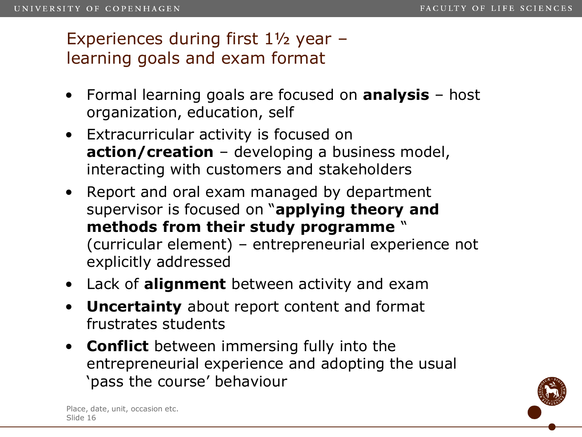### Experiences during first 1½ year – learning goals and exam format

- Formal learning goals are focused on **analysis** host organization, education, self
- Extracurricular activity is focused on **action/creation** – developing a business model, interacting with customers and stakeholders
- Report and oral exam managed by department supervisor is focused on "**applying theory and methods from their study programme** " (curricular element) – entrepreneurial experience not explicitly addressed
- Lack of **alignment** between activity and exam
- **Uncertainty** about report content and format frustrates students
- **Conflict** between immersing fully into the entrepreneurial experience and adopting the usual 'pass the course' behaviour

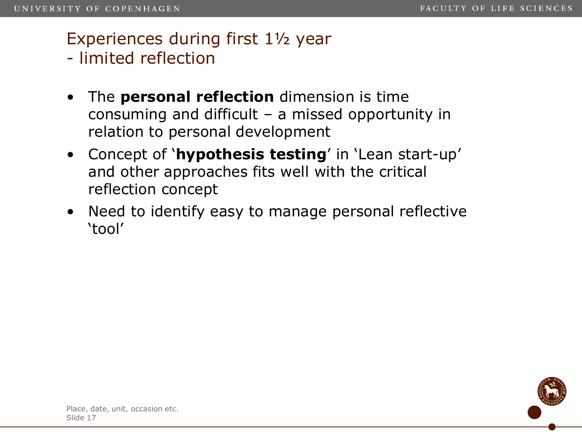## Experiences during first 1½ year

- limited reflection
- The **personal reflection** dimension is time consuming and difficult – a missed opportunity in relation to personal development
- Concept of '**hypothesis testing**' in 'Lean start-up' and other approaches fits well with the critical reflection concept
- Need to identify easy to manage personal reflective 'tool'